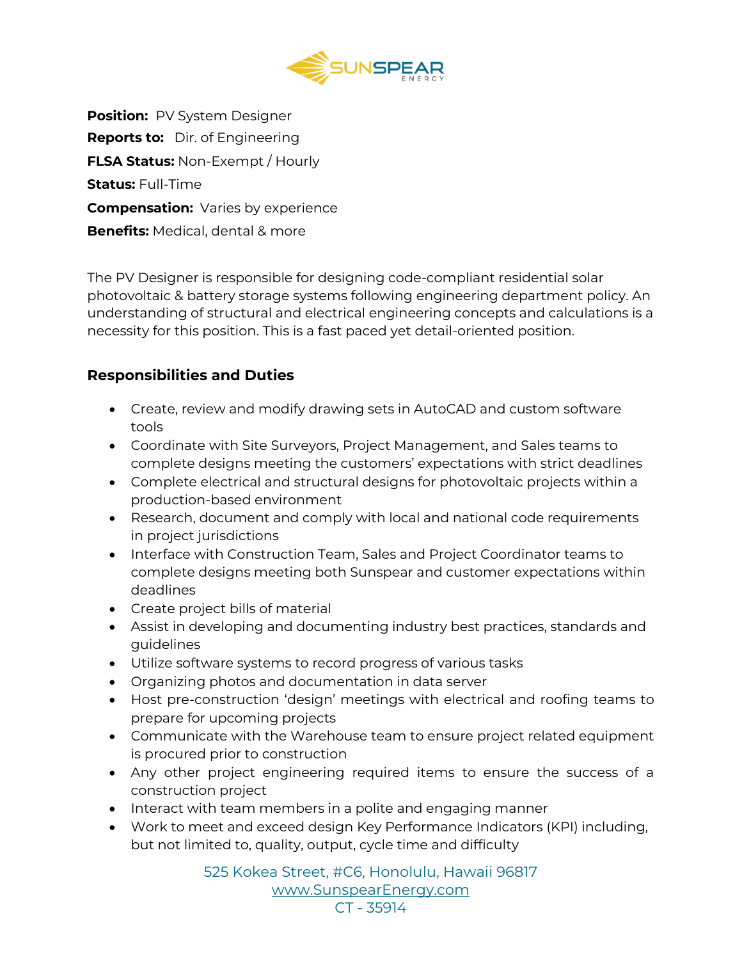

**Position:** PV System Designer **Reports to:** Dir. of Engineering **FLSA Status:** Non-Exempt / Hourly **Status:** Full-Time **Compensation:** Varies by experience **Benefits:** Medical, dental & more

The PV Designer is responsible for designing code-compliant residential solar photovoltaic & battery storage systems following engineering department policy. An understanding of structural and electrical engineering concepts and calculations is a necessity for this position. This is a fast paced yet detail-oriented position.

### **Responsibilities and Duties**

- Create, review and modify drawing sets in AutoCAD and custom software tools
- Coordinate with Site Surveyors, Project Management, and Sales teams to complete designs meeting the customers' expectations with strict deadlines
- Complete electrical and structural designs for photovoltaic projects within a production-based environment
- Research, document and comply with local and national code requirements in project jurisdictions
- Interface with Construction Team, Sales and Project Coordinator teams to complete designs meeting both Sunspear and customer expectations within deadlines
- Create project bills of material
- Assist in developing and documenting industry best practices, standards and guidelines
- Utilize software systems to record progress of various tasks
- Organizing photos and documentation in data server
- Host pre-construction 'design' meetings with electrical and roofing teams to prepare for upcoming projects
- Communicate with the Warehouse team to ensure project related equipment is procured prior to construction
- Any other project engineering required items to ensure the success of a construction project
- Interact with team members in a polite and engaging manner
- Work to meet and exceed design Key Performance Indicators (KPI) including, but not limited to, quality, output, cycle time and difficulty

525 Kokea Street, #C6, Honolulu, Hawaii 96817 [www.SunspearEnergy.com](http://www.sunspearenergy.com/) CT - 35914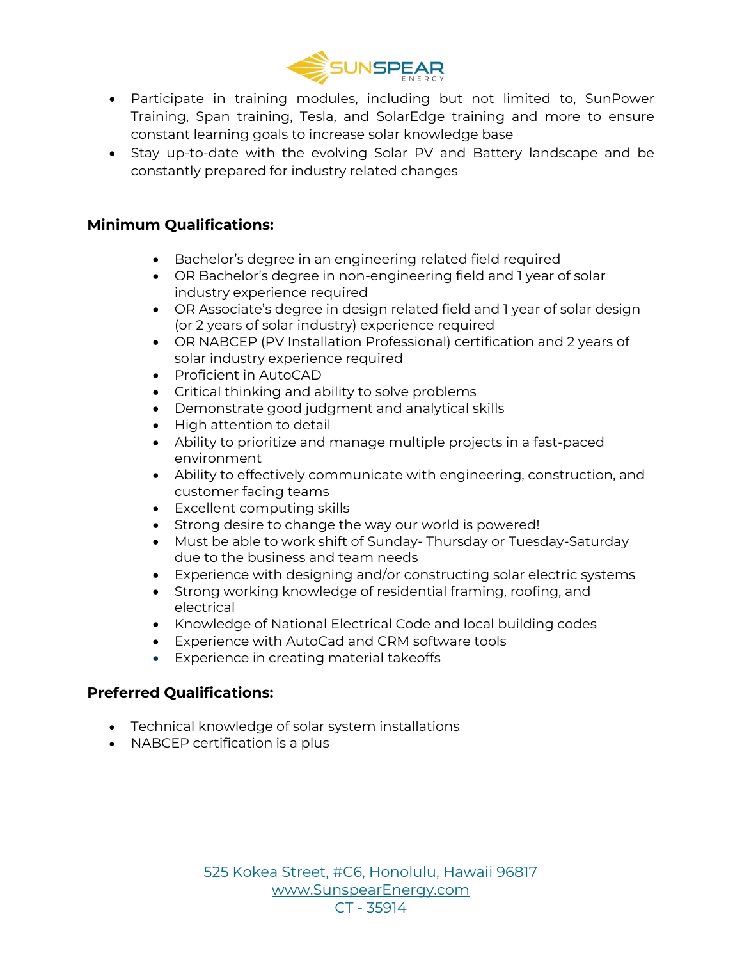

- Participate in training modules, including but not limited to, SunPower Training, Span training, Tesla, and SolarEdge training and more to ensure constant learning goals to increase solar knowledge base
- Stay up-to-date with the evolving Solar PV and Battery landscape and be constantly prepared for industry related changes

## **Minimum Qualifications:**

- Bachelor's degree in an engineering related field required
- OR Bachelor's degree in non-engineering field and 1 year of solar industry experience required
- OR Associate's degree in design related field and 1 year of solar design (or 2 years of solar industry) experience required
- OR NABCEP (PV Installation Professional) certification and 2 years of solar industry experience required
- Proficient in AutoCAD
- Critical thinking and ability to solve problems
- Demonstrate good judgment and analytical skills
- High attention to detail
- Ability to prioritize and manage multiple projects in a fast-paced environment
- Ability to effectively communicate with engineering, construction, and customer facing teams
- Excellent computing skills
- Strong desire to change the way our world is powered!
- Must be able to work shift of Sunday- Thursday or Tuesday-Saturday due to the business and team needs
- Experience with designing and/or constructing solar electric systems
- Strong working knowledge of residential framing, roofing, and electrical
- Knowledge of National Electrical Code and local building codes
- Experience with AutoCad and CRM software tools
- Experience in creating material takeoffs

### **Preferred Qualifications:**

- Technical knowledge of solar system installations
- NABCEP certification is a plus